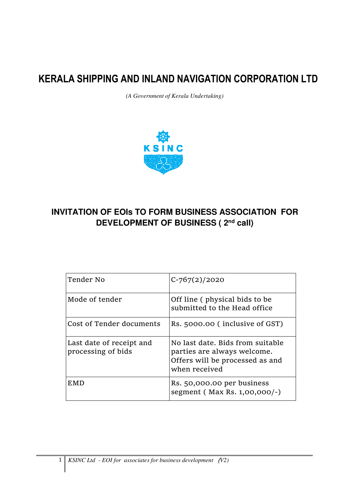*(A Government of Kerala Undertaking)*



# **INVITATION OF EOIs TO FORM BUSINESS ASSOCIATION FOR DEVELOPMENT OF BUSINESS ( 2nd call)**

| Tender No                                      | $C - 767(2)/2020$                                                                                                   |
|------------------------------------------------|---------------------------------------------------------------------------------------------------------------------|
| Mode of tender                                 | Off line (physical bids to be<br>submitted to the Head office                                                       |
| Cost of Tender documents                       | Rs. 5000.00 (inclusive of GST)                                                                                      |
| Last date of receipt and<br>processing of bids | No last date. Bids from suitable<br>parties are always welcome.<br>Offers will be processed as and<br>when received |
| EMD                                            | Rs. 50,000.00 per business<br>segment (Max Rs. 1,00,000/-)                                                          |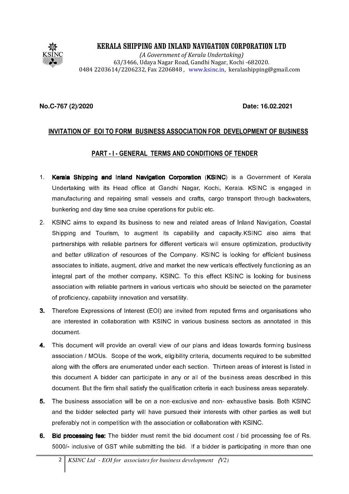

(A Government of Kerala Undertaking) 63/3466, Udaya Nagar Road, Gandhi Nagar, Kochi -682020. 0484 2203614/2206232, Fax 2206848 , www.ksinc.in, keralashipping@gmail.com

#### **No.C-767 (2)/2020 Date: 16.02.2021**

### INVITATION OF EOI TO FORM BUSINESS ASSOCIATION FOR DEVELOPMENT OF BUSINESS

#### PART - I - GENERAL TERMS AND CONDITIONS OF TENDER

- 1. Kerala Shipping and Inland Navigation Corporation (KSINC) is a Government of Kerala Undertaking with its Head office at Gandhi Nagar, Kochi, Kerala. KSINC is engaged in manufacturing and repairing small vessels and crafts, cargo transport through backwaters, bunkering and day time sea cruise operations for public etc.
- 2. KSINC aims to expand its business to new and related areas of Inland Navigation, Coastal Shipping and Tourism, to augment its capability and capacity.KSINC also aims that partnerships with reliable partners for different verticals will ensure optimization, productivity and better utilization of resources of the Company. KSINC is looking for efficient business associates to initiate, augment, drive and market the new verticals effectively functioning as an integral part of the mother company, KSINC. To this effect KSINC is looking for business association with reliable partners in various verticals who should be selected on the parameter of proficiency, capability innovation and versatility.
- 3. Therefore Expressions of Interest (EOI) are invited from reputed firms and organisations who are interested in collaboration with KSINC in various business sectors as annotated in this document.
- 4. This document will provide an overall view of our plans and ideas towards forming business association / MOUs. Scope of the work, eligibility criteria, documents required to be submitted along with the offers are enumerated under each section. Thirteen areas of interest is listed in this document A bidder can participate in any or all of the business areas described in this document. But the firm shall satisfy the qualification criteria in each business areas separately.
- 5. The business association will be on a non-exclusive and non- exhaustive basis. Both KSINC and the bidder selected party will have pursued their interests with other parties as well but preferably not in competition with the association or collaboration with KSINC.
- 6. Bid processing fee: The bidder must remit the bid document cost / bid processing fee of Rs. 5000/- inclusive of GST while submitting the bid. If a bidder is participating in more than one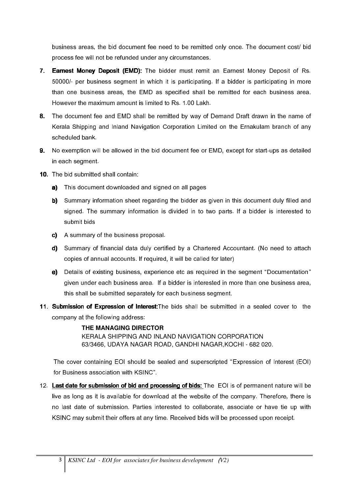business areas, the bid document fee need to be remitted only once. The document cost/ bid process fee will not be refunded under any circumstances.

- 7. Earnest Money Deposit (EMD): The bidder must remit an Earnest Money Deposit of Rs. 50000/- per business segment in which it is participating. If a bidder is participating in more than one business areas, the EMD as specified shall be remitted for each business area. However the maximum amount is limited to Rs. 1.00 Lakh.
- 8. The document fee and EMD shall be remitted by way of Demand Draft drawn in the name of Kerala Shipping and Inland Navigation Corporation Limited on the Ernakulam branch of any scheduled bank.
- 9. No exemption will be allowed in the bid document fee or EMD, except for start-ups as detailed in each segment.
- 10. The bid submitted shall contain:
	- a) This document downloaded and signed on all pages
	- b) Summary information sheet regarding the bidder as given in this document duly filled and signed. The summary information is divided in to two parts. If a bidder is interested to submit bids
	- c) A summary of the business proposal.
	- d) Summary of financial data duly certified by a Chartered Accountant. (No need to attach copies of annual accounts. If required, it will be called for later)
	- e) Details of existing business, experience etc as required in the segment "Documentation" given under each business area. If a bidder is interested in more than one business area, this shall be submitted separately for each business segment.
- 11. Submission of Expression of Interest: The bids shall be submitted in a sealed cover to the company at the following address:

**THE MANAGING DIRECTOR** KERALA SHIPPING AND INLAND NAVIGATION CORPORATION 63/3466, UDAYA NAGAR ROAD, GANDHI NAGAR,KOCHI - 682 020.

The cover containing EOI should be sealed and superscripted "Expression of Interest (EOI) for Business association with KSINC".

12. Last date for submission of bid and processing of bids: The EOI is of permanent nature will be live as long as it is available for download at the website of the company. Therefore, there is no last date of submission. Parties interested to collaborate, associate or have tie up with KSINC may submit their offers at any time. Received bids will be processed upon receipt.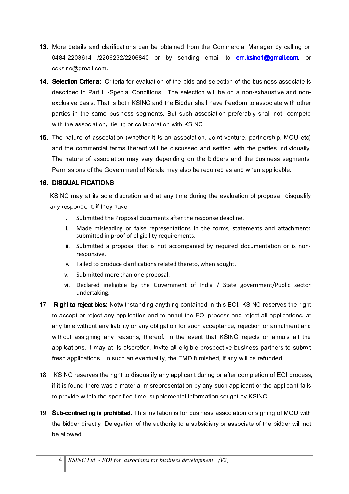- 13. More details and clarifications can be obtained from the Commercial Manager by calling on 0484-2203614 /2206232/2206840 or by sending email to **cm.ksinc1@gmail.com** or csksinc@gmail.com.
- 14. Selection Criteria: Criteria for evaluation of the bids and selection of the business associate is described in Part II -Special Conditions. The selection will be on a non-exhaustive and nonexclusive basis. That is both KSINC and the Bidder shall have freedom to associate with other parties in the same business segments. But such association preferably shall not compete with the association, tie up or collaboration with KSINC
- 15. The nature of association (whether it is an association, Joint venture, partnership, MOU etc) and the commercial terms thereof will be discussed and settled with the parties individually. The nature of association may vary depending on the bidders and the business segments. Permissions of the Government of Kerala may also be required as and when applicable.

#### 16. DISQUALIFICATIONS 16.

KSINC may at its sole discretion and at any time during the evaluation of proposal, disqualify any respondent, if they have:

- i. Submitted the Proposal documents after the response deadline.
- ii. Made misleading or false representations in the forms, statements and attachments submitted in proof of eligibility requirements.
- iii. Submitted a proposal that is not accompanied by required documentation or is nonresponsive.
- iv. Failed to produce clarifications related thereto, when sought.
- v. Submitted more than one proposal.
- vi. Declared ineligible by the Government of India / State government/Public sector undertaking.
- 17. Right to reject bids: Notwithstanding anything contained in this EOI, KSINC reserves the right to accept or reject any application and to annul the EOI process and reject all applications, at any time without any liability or any obligation for such acceptance, rejection or annulment and without assigning any reasons, thereof. In the event that KSINC rejects or annuls all the applications, it may at its discretion, invite all eligible prospective business partners to submit fresh applications. In such an eventuality, the EMD furnished, if any will be refunded.
- 18. KSINC reserves the right to disqualify any applicant during or after completion of EOI process, if it is found there was a material misrepresentation by any such applicant or the applicant fails to provide within the specified time, supplemental information sought by KSINC
- 19. Sub-contracting is prohibited: This invitation is for business association or signing of MOU with the bidder directly. Delegation of the authority to a subsidiary or associate of the bidder will not be allowed.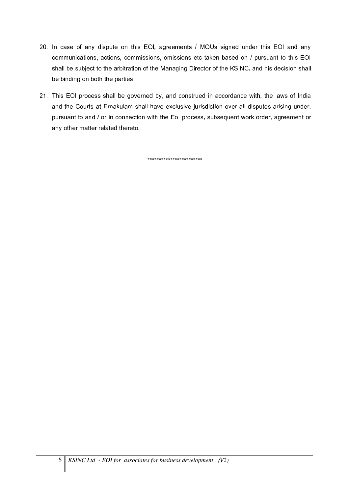- 20. In case of any dispute on this EOI, agreements / MOUs signed under this EOI and any communications, actions, commissions, omissions etc taken based on / pursuant to this EOI shall be subject to the arbitration of the Managing Director of the KSINC, and his decision shall be binding on both the parties.
- 21. This EOI process shall be governed by, and construed in accordance with, the laws of India and the Courts at Ernakulam shall have exclusive jurisdiction over all disputes arising under, pursuant to and / or in connection with the EoI process, subsequent work order, agreement or any other matter related thereto.

\*\*\*\*\*\*\*\*\*\*\*\*\*\*\*\*\*\*\*\*\*\*\*\*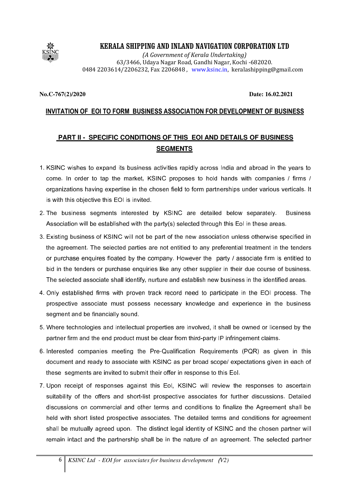

(A Government of Kerala Undertaking) 63/3466, Udaya Nagar Road, Gandhi Nagar, Kochi -682020. 0484 2203614/2206232, Fax 2206848 , www.ksinc.in, keralashipping@gmail.com

#### **No.C-767(2)/2020 Date: 16.02.2021**

### INVITATION OF EOI TO FORM BUSINESS ASSOCIATION FOR DEVELOPMENT OF BUSINESS

# **PART II - SPECIFIC CONDITIONS OF THIS EOI AND DETAILS OF BUSINESS SEGMENTS**

- 1. KSINC wishes to expand its business activities rapidly across India and abroad in the years to come. In order to tap the market, KSINC proposes to hold hands with companies / firms / organizations having expertise in the chosen field to form partnerships under various verticals. It is with this objective this EOI is invited.
- 2. The business segments interested by KSINC are detailed below separately. Business Association will be established with the party(s) selected through this EoI in these areas.
- 3. Existing business of KSINC will not be part of the new association unless otherwise specified in the agreement. The selected parties are not entitled to any preferential treatment in the tenders or purchase enquires floated by the company. However the party / associate firm is entitled to bid in the tenders or purchase enquiries like any other supplier in their due course of business. The selected associate shall identify, nurture and establish new business in the identified areas.
- 4. Only established firms with proven track record need to participate in the EOI process. The prospective associate must possess necessary knowledge and experience in the business segment and be financially sound.
- 5. Where technologies and intellectual properties are involved, it shall be owned or licensed by the partner firm and the end product must be clear from third-party IP infringement claims.
- 6. Interested companies meeting the Pre-Qualification Requirements (PQR) as given in this document and ready to associate with KSINC as per broad scope/ expectations given in each of these segments are invited to submit their offer in response to this EoI.
- 7. Upon receipt of responses against this EoI, KSINC will review the responses to ascertain suitability of the offers and short-list prospective associates for further discussions. Detailed discussions on commercial and other terms and conditions to finalize the Agreement shall be held with short listed prospective associates. The detailed terms and conditions for agreement shall be mutually agreed upon. The distinct legal identity of KSINC and the chosen partner will remain intact and the partnership shall be in the nature of an agreement. The selected partner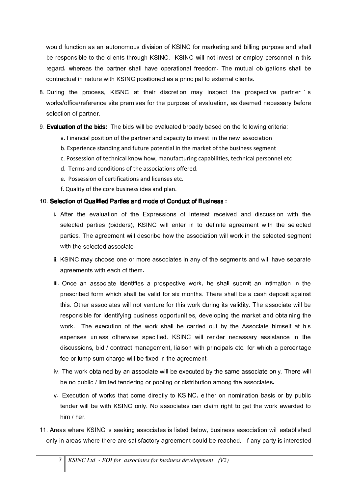would function as an autonomous division of KSINC for marketing and billing purpose and shall be responsible to the clients through KSINC. KSINC will not invest or employ personnel in this regard, whereas the partner shall have operational freedom. The mutual obligations shall be contractual in nature with KSINC positioned as a principal to external clients.

- 8. During the process, KISNC at their discretion may inspect the prospective partner ' s works/office/reference site premises for the purpose of evaluation, as deemed necessary before selection of partner.
- 9. Evaluation of the bids: The bids will be evaluated broadly based on the following criteria:
	- a. Financial position of the partner and capacity to invest in the new association
	- b. Experience standing and future potential in the market of the business segment
	- c. Possession of technical know how, manufacturing capabilities, technical personnel etc
	- d. Terms and conditions of the associations offered.
	- e. Possession of certifications and licenses etc.
	- f. Quality of the core business idea and plan.

#### 10. Selection of Qualified Parties and mode of Conduct of Business :

- i. After the evaluation of the Expressions of Interest received and discussion with the selected parties (bidders), KSINC will enter in to definite agreement with the selected parties. The agreement will describe how the association will work in the selected segment with the selected associate.
- ii. KSINC may choose one or more associates in any of the segments and will have separate agreements with each of them.
- iii. Once an associate identifies a prospective work, he shall submit an intimation in the prescribed form which shall be valid for six months. There shall be a cash deposit against this. Other associates will not venture for this work during its validity. The associate will be responsible for identifying business opportunities, developing the market and obtaining the work. The execution of the work shall be carried out by the Associate himself at his expenses unless otherwise specified. KSINC will render necessary assistance in the discussions, bid / contract management, liaison with principals etc. for which a percentage fee or lump sum charge will be fixed in the agreement.
- iv. The work obtained by an associate will be executed by the same associate only. There will be no public / limited tendering or pooling or distribution among the associates.
- v. Execution of works that come directly to KSINC, either on nomination basis or by public tender will be with KSINC only. No associates can claim right to get the work awarded to him / her.
- 11. Areas where KSINC is seeking associates is listed below, business association will established only in areas where there are satisfactory agreement could be reached. If any party is interested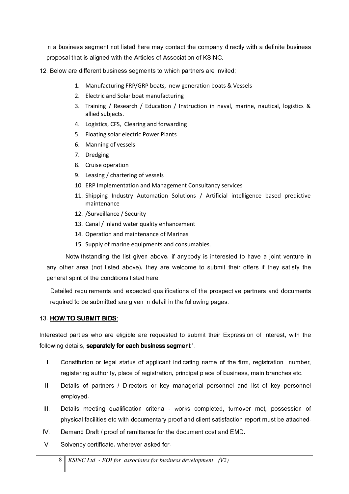in a business segment not listed here may contact the company directly with a definite business proposal that is aligned with the Articles of Association of KSINC.

- 12. Below are different business segments to which partners are invited;
	- 1. Manufacturing FRP/GRP boats, new generation boats & Vessels
	- 2. Electric and Solar boat manufacturing
	- 3. Training / Research / Education / Instruction in naval, marine, nautical, logistics & allied subjects.
	- 4. Logistics, CFS, Clearing and forwarding
	- 5. Floating solar electric Power Plants
	- 6. Manning of vessels
	- 7. Dredging
	- 8. Cruise operation
	- 9. Leasing / chartering of vessels
	- 10. ERP Implementation and Management Consultancy services
	- 11. Shipping Industry Automation Solutions / Artificial intelligence based predictive maintenance
	- 12. /Surveillance / Security
	- 13. Canal / Inland water quality enhancement
	- 14. Operation and maintenance of Marinas
	- 15. Supply of marine equipments and consumables.

Notwithstanding the list given above, if anybody is interested to have a joint venture in any other area (not listed above), they are welcome to submit their offers if they satisfy the general spirit of the conditions listed here.

Detailed requirements and expected qualifications of the prospective partners and documents required to be submitted are given in detail in the following pages.

#### 13. HOW TO SUBMIT BIDS:

Interested parties who are eligible are requested to submit their Expression of Interest, with the following details, separately for each business segment '.

- I. Constitution or legal status of applicant indicating name of the firm, registration number, registering authority, place of registration, principal place of business, main branches etc.
- II. Details of partners / Directors or key managerial personnel and list of key personnel employed.
- III. Details meeting qualification criteria works completed, turnover met, possession of physical facilities etc with documentary proof and client satisfaction report must be attached.
- IV. Demand Draft / proof of remittance for the document cost and EMD.
- V. Solvency certificate, wherever asked for.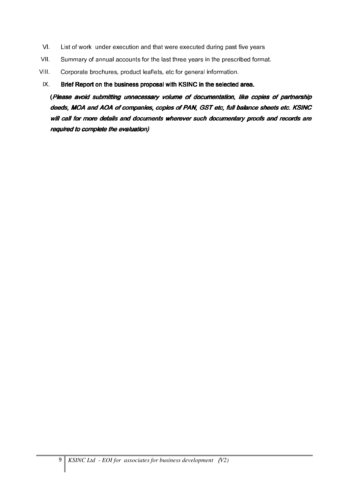- VI. List of work under execution and that were executed during past five years
- VII. Summary of annual accounts for the last three years in the prescribed format.
- VIII. Corporate brochures, product leaflets, etc for general information.

#### $IX.$  Brief Report on the business proposal with KSINC in the selected area.

(Please avoid submitting unnecessary volume of documentation, like copies of partnership deeds, MOA and AOA of companies, copies of PAN, GST etc, full balance sheets etc. KSINC will call for more details and documents wherever such documentary proofs and records are required to complete the evaluation)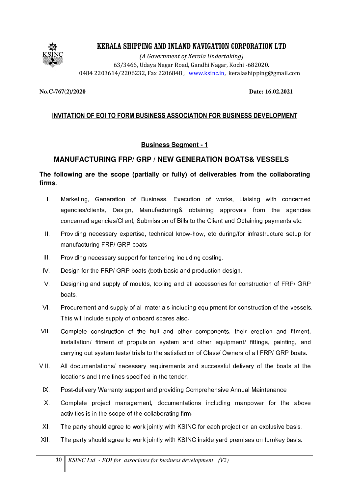

(A Government of Kerala Undertaking) 63/3466, Udaya Nagar Road, Gandhi Nagar, Kochi -682020. 0484 2203614/2206232, Fax 2206848 , www.ksinc.in, keralashipping@gmail.com

#### **No.C-767(2)/2020 Date: 16.02.2021**

## INVITATION OF EOI TO FORM BUSINESS ASSOCIATION FOR BUSINESS DEVELOPMENT

### **Business Segment - 1**

### **MANUFACTURING FRP/ GRP / NEW GENERATION BOATS& VESSELS**

### **The following are the scope (partially or fully) of deliverables from the collaborating firms**.

- I. Marketing, Generation of Business. Execution of works, Liaising with concerned agencies/clients, Design, Manufacturing& obtaining approvals from the agencies concerned agencies/Client, Submission of Bills to the Client and Obtaining payments etc.
- II. Providing necessary expertise, technical know-how, etc during/for infrastructure setup for manufacturing FRP/ GRP boats.
- III. Providing necessary support for tendering including costing.
- IV. Design for the FRP/ GRP boats (both basic and production design.
- V. Designing and supply of moulds, tooling and all accessories for construction of FRP/ GRP boats.
- VI. Procurement and supply of all materials including equipment for construction of the vessels. This will include supply of onboard spares also.
- VII. Complete construction of the hull and other components, their erection and fitment, installation/ fitment of propulsion system and other equipment/ fittings, painting, and carrying out system tests/ trials to the satisfaction of Class/ Owners of all FRP/ GRP boats.
- VIII. All documentations/ necessary requirements and successful delivery of the boats at the locations and time lines specified in the tender.
	- IX. Post-delivery Warranty support and providing Comprehensive Annual Maintenance
	- X. Complete project management, documentations including manpower for the above activities is in the scope of the collaborating firm.
	- XI. The party should agree to work jointly with KSINC for each project on an exclusive basis.
- XII. The party should agree to work jointly with KSINC inside yard premises on turnkey basis.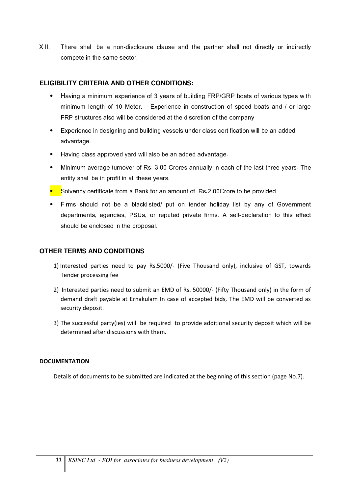XIII. There shall be a non-disclosure clause and the partner shall not directly or indirectly compete in the same sector.

### **ELIGIBILITY CRITERIA AND OTHER CONDITIONS:**

- Having a minimum experience of 3 years of building FRP/GRP boats of various types with minimum length of 10 Meter. Experience in construction of speed boats and / or large FRP structures also will be considered at the discretion of the company
- Experience in designing and building vessels under class certification will be an added advantage.
- Having class approved yard will also be an added advantage.
- Minimum average turnover of Rs. 3.00 Crores annually in each of the last three years. The entity shall be in profit in all these years.
- Solvency certificate from a Bank for an amount of Rs.2.00Crore to be provided
- Firms should not be a blacklisted/ put on tender holiday list by any of Government departments, agencies, PSUs, or reputed private firms. A self-declaration to this effect should be enclosed in the proposal.

### **OTHER TERMS AND CONDITIONS**

- 1) Interested parties need to pay Rs.5000/- (Five Thousand only), inclusive of GST, towards Tender processing fee
- 2) Interested parties need to submit an EMD of Rs. 50000/- (Fifty Thousand only) in the form of demand draft payable at Ernakulam In case of accepted bids, The EMD will be converted as security deposit.
- 3) The successful party(ies) will be required to provide additional security deposit which will be determined after discussions with them.

#### **DOCUMENTATION**

Details of documents to be submitted are indicated at the beginning of this section (page No.7).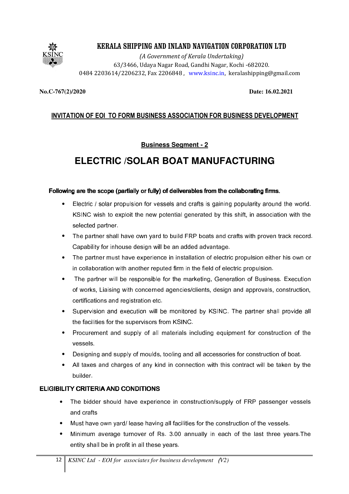

(A Government of Kerala Undertaking) 63/3466, Udaya Nagar Road, Gandhi Nagar, Kochi -682020. 0484 2203614/2206232, Fax 2206848 , www.ksinc.in, keralashipping@gmail.com

#### **No.C-767(2)/2020 Date: 16.02.2021**

## INVITATION OF EOI TO FORM BUSINESS ASSOCIATION FOR BUSINESS DEVELOPMENT

### **Business Segment - 2**

# **ELECTRIC /SOLAR BOAT MANUFACTURING**

#### Following are the scope (partially or fully) of deliverables from the collaborating firms.

- Electric / solar propulsion for vessels and crafts is gaining popularity around the world. KSINC wish to exploit the new potential generated by this shift, in association with the selected partner.
- The partner shall have own yard to build FRP boats and crafts with proven track record. Capability for inhouse design will be an added advantage.
- The partner must have experience in installation of electric propulsion either his own or in collaboration with another reputed firm in the field of electric propulsion.
- The partner will be responsible for the marketing, Generation of Business. Execution of works, Liaising with concerned agencies/clients, design and approvals, construction, certifications and registration etc.
- Supervision and execution will be monitored by KSINC. The partner shall provide all the facilities for the supervisors from KSINC.
- Procurement and supply of all materials including equipment for construction of the vessels.
- Designing and supply of moulds, tooling and all accessories for construction of boat.
- All taxes and charges of any kind in connection with this contract will be taken by the builder.

#### ELIGIBILITY CRITERIA AND CONDITIONS

- The bidder should have experience in construction/supply of FRP passenger vessels and crafts
- Must have own yard/ lease having all facilities for the construction of the vessels.
- Minimum average turnover of Rs. 3.00 annually in each of the last three years.The entity shall be in profit in all these years.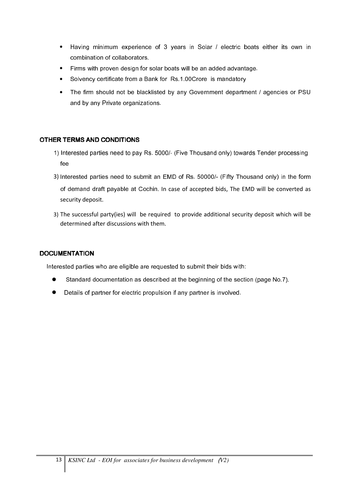- Having minimum experience of 3 years in Solar / electric boats either its own in combination of collaborators.
- Firms with proven design for solar boats will be an added advantage.
- Solvency certificate from a Bank for Rs.1.00Crore is mandatory
- The firm should not be blacklisted by any Government department / agencies or PSU and by any Private organizations.

#### OTHER TERMS AND CONDITIONS

- 1) Interested parties need to pay Rs. 5000/- (Five Thousand only) towards Tender processing fee
- 3) Interested parties need to submit an EMD of Rs. 50000/- (Fifty Thousand only) in the form of demand draft payable at Cochin. In case of accepted bids, The EMD will be converted as security deposit.
- 3) The successful party(ies) will be required to provide additional security deposit which will be determined after discussions with them.

#### **DOCUMENTATION**

Interested parties who are eligible are requested to submit their bids with:

- Standard documentation as described at the beginning of the section (page No.7).
- Details of partner for electric propulsion if any partner is involved.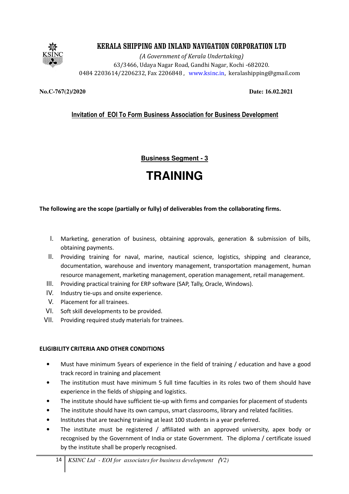

(A Government of Kerala Undertaking) 63/3466, Udaya Nagar Road, Gandhi Nagar, Kochi -682020. 0484 2203614/2206232, Fax 2206848 , www.ksinc.in, keralashipping@gmail.com

**No.C-767(2)/2020 Date: 16.02.2021**

# Invitation of EOI To Form Business Association for Business Development

**Business Segment - 3**

# **TRAINING**

#### The following are the scope (partially or fully) of deliverables from the collaborating firms.

- I. Marketing, generation of business, obtaining approvals, generation & submission of bills, obtaining payments.
- II. Providing training for naval, marine, nautical science, logistics, shipping and clearance, documentation, warehouse and inventory management, transportation management, human resource management, marketing management, operation management, retail management.
- III. Providing practical training for ERP software (SAP, Tally, Oracle, Windows).
- IV. Industry tie-ups and onsite experience.
- V. Placement for all trainees.
- VI. Soft skill developments to be provided.
- VII. Providing required study materials for trainees.

#### ELIGIBILITY CRITERIA AND OTHER CONDITIONS

- Must have minimum 5years of experience in the field of training / education and have a good track record in training and placement
- The institution must have minimum 5 full time faculties in its roles two of them should have experience in the fields of shipping and logistics.
- The institute should have sufficient tie-up with firms and companies for placement of students
- The institute should have its own campus, smart classrooms, library and related facilities.
- Institutes that are teaching training at least 100 students in a year preferred.
- The institute must be registered / affiliated with an approved university, apex body or recognised by the Government of India or state Government. The diploma / certificate issued by the institute shall be properly recognised.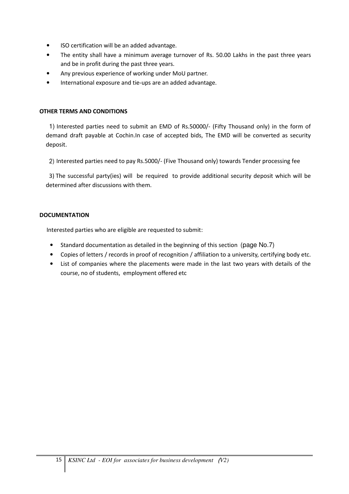- ISO certification will be an added advantage.
- The entity shall have a minimum average turnover of Rs. 50.00 Lakhs in the past three years and be in profit during the past three years.
- Any previous experience of working under MoU partner.
- International exposure and tie-ups are an added advantage.

#### OTHER TERMS AND CONDITIONS

1) Interested parties need to submit an EMD of Rs.50000/- (Fifty Thousand only) in the form of demand draft payable at Cochin.In case of accepted bids, The EMD will be converted as security deposit.

2) Interested parties need to pay Rs.5000/- (Five Thousand only) towards Tender processing fee

3) The successful party(ies) will be required to provide additional security deposit which will be determined after discussions with them.

#### **DOCUMENTATION**

Interested parties who are eligible are requested to submit:

- Standard documentation as detailed in the beginning of this section (page No.7)
- Copies of letters / records in proof of recognition / affiliation to a university, certifying body etc.
- List of companies where the placements were made in the last two years with details of the course, no of students, employment offered etc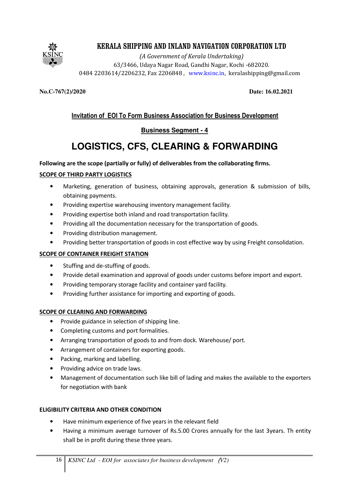

(A Government of Kerala Undertaking) 63/3466, Udaya Nagar Road, Gandhi Nagar, Kochi -682020. 0484 2203614/2206232, Fax 2206848 , www.ksinc.in, keralashipping@gmail.com

**No.C-767(2)/2020 Date: 16.02.2021**

# Invitation of EOI To Form Business Association for Business Development

# **Business Segment - 4**

# **LOGISTICS, CFS, CLEARING & FORWARDING**

#### Following are the scope (partially or fully) of deliverables from the collaborating firms.

#### SCOPE OF THIRD PARTY LOGISTICS

- Marketing, generation of business, obtaining approvals, generation & submission of bills, obtaining payments.
- Providing expertise warehousing inventory management facility.
- Providing expertise both inland and road transportation facility.
- Providing all the documentation necessary for the transportation of goods.
- Providing distribution management.
- Providing better transportation of goods in cost effective way by using Freight consolidation.

#### SCOPE OF CONTAINER FREIGHT STATION

- Stuffing and de-stuffing of goods.
- Provide detail examination and approval of goods under customs before import and export.
- Providing temporary storage facility and container yard facility.
- Providing further assistance for importing and exporting of goods.

#### SCOPE OF CLEARING AND FORWARDING

- Provide guidance in selection of shipping line.
- Completing customs and port formalities.
- Arranging transportation of goods to and from dock. Warehouse/ port.
- Arrangement of containers for exporting goods.
- Packing, marking and labelling.
- Providing advice on trade laws.
- Management of documentation such like bill of lading and makes the available to the exporters for negotiation with bank

#### ELIGIBILITY CRITERIA AND OTHER CONDITION

- Have minimum experience of five years in the relevant field
- Having a minimum average turnover of Rs.5.00 Crores annually for the last 3years. Th entity shall be in profit during these three years.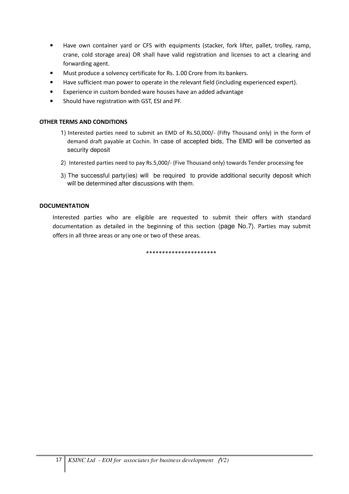- Have own container yard or CFS with equipments (stacker, fork lifter, pallet, trolley, ramp, crane, cold storage area) OR shall have valid registration and licenses to act a clearing and forwarding agent.
- Must produce a solvency certificate for Rs. 1.00 Crore from its bankers.
- Have sufficient man power to operate in the relevant field (including experienced expert).
- Experience in custom bonded ware houses have an added advantage
- Should have registration with GST, ESI and PF.

#### OTHER TERMS AND CONDITIONS

- 1) Interested parties need to submit an EMD of Rs.50,000/- (Fifty Thousand only) in the form of demand draft payable at Cochin. In case of accepted bids, The EMD will be converted as security deposit
- 2) Interested parties need to pay Rs.5,000/- (Five Thousand only) towards Tender processing fee
- 3) The successful party(ies) will be required to provide additional security deposit which will be determined after discussions with them.

#### **DOCUMENTATION**

Interested parties who are eligible are requested to submit their offers with standard documentation as detailed in the beginning of this section (page No.7). Parties may submit offers in all three areas or any one or two of these areas.

\*\*\*\*\*\*\*\*\*\*\*\*\*\*\*\*\*\*\*\*\*\*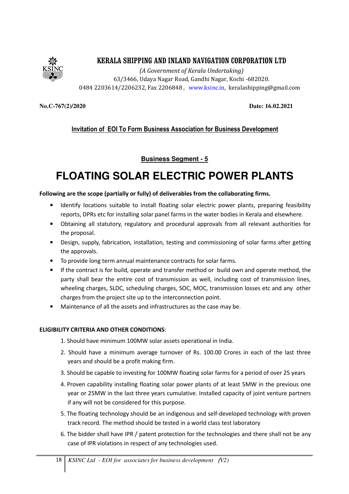

(A Government of Kerala Undertaking) 63/3466, Udaya Nagar Road, Gandhi Nagar, Kochi -682020. 0484 2203614/2206232, Fax 2206848 , www.ksinc.in, keralashipping@gmail.com

**No.C-767(2)/2020 Date: 16.02.2021**

### Invitation of EOI To Form Business Association for Business Development

**Business Segment - 5**

# **FLOATING SOLAR ELECTRIC POWER PLANTS**

#### Following are the scope (partially or fully) of deliverables from the collaborating firms.

- Identify locations suitable to install floating solar electric power plants, preparing feasibility reports, DPRs etc for installing solar panel farms in the water bodies in Kerala and elsewhere.
- Obtaining all statutory, regulatory and procedural approvals from all relevant authorities for the proposal.
- Design, supply, fabrication, installation, testing and commissioning of solar farms after getting the approvals.
- To provide long term annual maintenance contracts for solar farms.
- If the contract is for build, operate and transfer method or build own and operate method, the party shall bear the entire cost of transmission as well, including cost of transmission lines, wheeling charges, SLDC, scheduling charges, SOC, MOC, transmission losses etc and any other charges from the project site up to the interconnection point.
- Maintenance of all the assets and infrastructures as the case may be.

#### ELIGIBILITY CRITERIA AND OTHER CONDITIONS:

1. Should have minimum 100MW solar assets operational in India.

- 2. Should have a minimum average turnover of Rs. 100.00 Crores in each of the last three years and should be a profit making firm.
- 3. Should be capable to investing for 100MW floating solar farms for a period of over 25 years
- 4. Proven capability installing floating solar power plants of at least 5MW in the previous one year or 25MW in the last three years cumulative. Installed capacity of joint venture partners if any will not be considered for this purpose.
- 5. The floating technology should be an indigenous and self-developed technology with proven track record. The method should be tested in a world class test laboratory
- 6. The bidder shall have IPR / patent protection for the technologies and there shall not be any case of IPR violations in respect of any technologies used.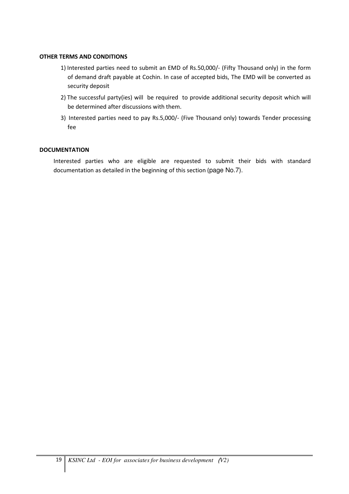#### OTHER TERMS AND CONDITIONS

- 1) Interested parties need to submit an EMD of Rs.50,000/- (Fifty Thousand only) in the form of demand draft payable at Cochin. In case of accepted bids, The EMD will be converted as security deposit
- 2) The successful party(ies) will be required to provide additional security deposit which will be determined after discussions with them.
- 3) Interested parties need to pay Rs.5,000/- (Five Thousand only) towards Tender processing fee

#### **DOCUMENTATION**

Interested parties who are eligible are requested to submit their bids with standard documentation as detailed in the beginning of this section (page No.7).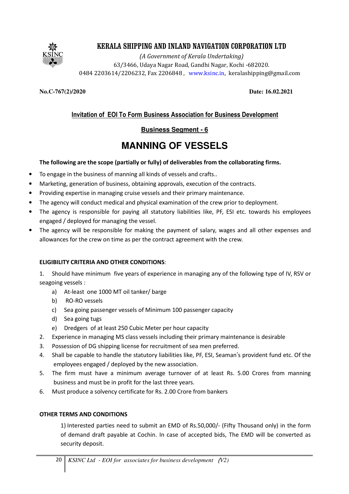

(A Government of Kerala Undertaking) 63/3466, Udaya Nagar Road, Gandhi Nagar, Kochi -682020. 0484 2203614/2206232, Fax 2206848 , www.ksinc.in, keralashipping@gmail.com

**No.C-767(2)/2020 Date: 16.02.2021**

# Invitation of EOI To Form Business Association for Business Development

## **Business Segment - 6**

# **MANNING OF VESSELS**

#### The following are the scope (partially or fully) of deliverables from the collaborating firms.

- To engage in the business of manning all kinds of vessels and crafts..
- Marketing, generation of business, obtaining approvals, execution of the contracts.
- Providing expertise in managing cruise vessels and their primary maintenance.
- The agency will conduct medical and physical examination of the crew prior to deployment.
- The agency is responsible for paying all statutory liabilities like, PF, ESI etc. towards his employees engaged / deployed for managing the vessel.
- The agency will be responsible for making the payment of salary, wages and all other expenses and allowances for the crew on time as per the contract agreement with the crew.

#### ELIGIBILITY CRITERIA AND OTHER CONDITIONS:

1. Should have minimum five years of experience in managing any of the following type of IV, RSV or seagoing vessels :

- a) At-least one 1000 MT oil tanker/ barge
- b) RO-RO vessels
- c) Sea going passenger vessels of Minimum 100 passenger capacity
- d) Sea going tugs
- e) Dredgers of at least 250 Cubic Meter per hour capacity
- 2. Experience in managing MS class vessels including their primary maintenance is desirable
- 3. Possession of DG shipping license for recruitment of sea men preferred.
- 4. Shall be capable to handle the statutory liabilities like, PF, ESI, Seaman's provident fund etc. Of the employees engaged / deployed by the new association.
- 5. The firm must have a minimum average turnover of at least Rs. 5.00 Crores from manning business and must be in profit for the last three years.
- 6. Must produce a solvency certificate for Rs. 2.00 Crore from bankers

#### OTHER TERMS AND CONDITIONS

1) Interested parties need to submit an EMD of Rs.50,000/- (Fifty Thousand only) in the form of demand draft payable at Cochin. In case of accepted bids, The EMD will be converted as security deposit.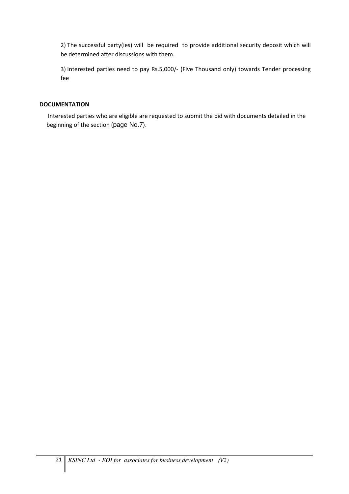2) The successful party(ies) will be required to provide additional security deposit which will be determined after discussions with them.

3) Interested parties need to pay Rs.5,000/- (Five Thousand only) towards Tender processing fee

#### **DOCUMENTATION**

Interested parties who are eligible are requested to submit the bid with documents detailed in the beginning of the section (page No.7).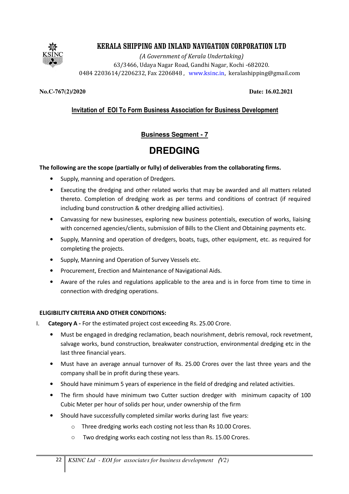

(A Government of Kerala Undertaking) 63/3466, Udaya Nagar Road, Gandhi Nagar, Kochi -682020. 0484 2203614/2206232, Fax 2206848 , www.ksinc.in, keralashipping@gmail.com

#### **No.C-767(2)/2020 Date: 16.02.2021**

## Invitation of EOI To Form Business Association for Business Development

## **Business Segment - 7**

# **DREDGING**

#### The following are the scope (partially or fully) of deliverables from the collaborating firms.

- Supply, manning and operation of Dredgers.
- Executing the dredging and other related works that may be awarded and all matters related thereto. Completion of dredging work as per terms and conditions of contract (if required including bund construction & other dredging allied activities).
- Canvassing for new businesses, exploring new business potentials, execution of works, liaising with concerned agencies/clients, submission of Bills to the Client and Obtaining payments etc.
- Supply, Manning and operation of dredgers, boats, tugs, other equipment, etc. as required for completing the projects.
- Supply, Manning and Operation of Survey Vessels etc.
- Procurement, Erection and Maintenance of Navigational Aids.
- Aware of the rules and regulations applicable to the area and is in force from time to time in connection with dredging operations.

#### ELIGIBILITY CRITERIA AND OTHER CONDITIONS:

- I. Category A For the estimated project cost exceeding Rs. 25.00 Crore.
	- Must be engaged in dredging reclamation, beach nourishment, debris removal, rock revetment, salvage works, bund construction, breakwater construction, environmental dredging etc in the last three financial years.
	- Must have an average annual turnover of Rs. 25.00 Crores over the last three years and the company shall be in profit during these years.
	- Should have minimum 5 years of experience in the field of dredging and related activities.
	- The firm should have minimum two Cutter suction dredger with minimum capacity of 100 Cubic Meter per hour of solids per hour, under ownership of the firm
	- Should have successfully completed similar works during last five years:
		- o Three dredging works each costing not less than Rs 10.00 Crores.
		- o Two dredging works each costing not less than Rs. 15.00 Crores.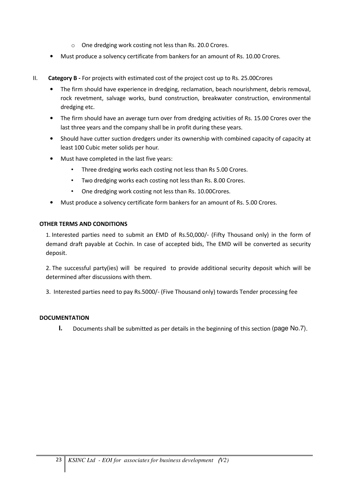- o One dredging work costing not less than Rs. 20.0 Crores.
- Must produce a solvency certificate from bankers for an amount of Rs. 10.00 Crores.
- II. Category B For projects with estimated cost of the project cost up to Rs. 25.00 Crores
	- The firm should have experience in dredging, reclamation, beach nourishment, debris removal, rock revetment, salvage works, bund construction, breakwater construction, environmental dredging etc.
	- The firm should have an average turn over from dredging activities of Rs. 15.00 Crores over the last three years and the company shall be in profit during these years.
	- Should have cutter suction dredgers under its ownership with combined capacity of capacity at least 100 Cubic meter solids per hour.
	- Must have completed in the last five years:
		- Three dredging works each costing not less than Rs 5.00 Crores.
		- Two dredging works each costing not less than Rs. 8.00 Crores.
		- One dredging work costing not less than Rs. 10.00Crores.
	- Must produce a solvency certificate form bankers for an amount of Rs. 5.00 Crores.

#### OTHER TERMS AND CONDITIONS

1. Interested parties need to submit an EMD of Rs.50,000/- (Fifty Thousand only) in the form of demand draft payable at Cochin. In case of accepted bids, The EMD will be converted as security deposit.

2. The successful party(ies) will be required to provide additional security deposit which will be determined after discussions with them.

3. Interested parties need to pay Rs.5000/- (Five Thousand only) towards Tender processing fee

#### **DOCUMENTATION**

**I.** Documents shall be submitted as per details in the beginning of this section (page No.7).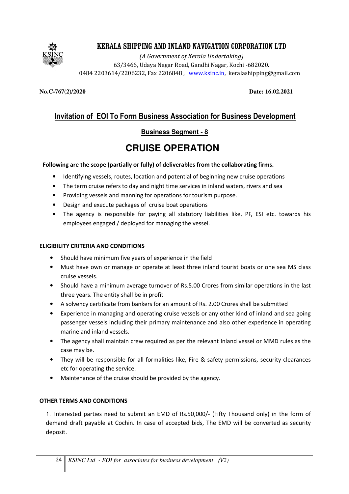

(A Government of Kerala Undertaking) 63/3466, Udaya Nagar Road, Gandhi Nagar, Kochi -682020. 0484 2203614/2206232, Fax 2206848 , www.ksinc.in, keralashipping@gmail.com

**No.C-767(2)/2020 Date: 16.02.2021**

# Invitation of EOI To Form Business Association for Business Development

## **Business Segment - 8**

# **CRUISE OPERATION**

#### Following are the scope (partially or fully) of deliverables from the collaborating firms.

- Identifying vessels, routes, location and potential of beginning new cruise operations
- The term cruise refers to day and night time services in inland waters, rivers and sea
- Providing vessels and manning for operations for tourism purpose.
- Design and execute packages of cruise boat operations
- The agency is responsible for paying all statutory liabilities like, PF, ESI etc. towards his employees engaged / deployed for managing the vessel.

#### ELIGIBILITY CRITERIA AND CONDITIONS

- Should have minimum five years of experience in the field
- Must have own or manage or operate at least three inland tourist boats or one sea MS class cruise vessels.
- Should have a minimum average turnover of Rs.5.00 Crores from similar operations in the last three years. The entity shall be in profit
- A solvency certificate from bankers for an amount of Rs. 2.00 Crores shall be submitted
- Experience in managing and operating cruise vessels or any other kind of inland and sea going passenger vessels including their primary maintenance and also other experience in operating marine and inland vessels.
- The agency shall maintain crew required as per the relevant Inland vessel or MMD rules as the case may be.
- They will be responsible for all formalities like, Fire & safety permissions, security clearances etc for operating the service.
- Maintenance of the cruise should be provided by the agency.

#### OTHER TERMS AND CONDITIONS

1. Interested parties need to submit an EMD of Rs.50,000/- (Fifty Thousand only) in the form of demand draft payable at Cochin. In case of accepted bids, The EMD will be converted as security deposit.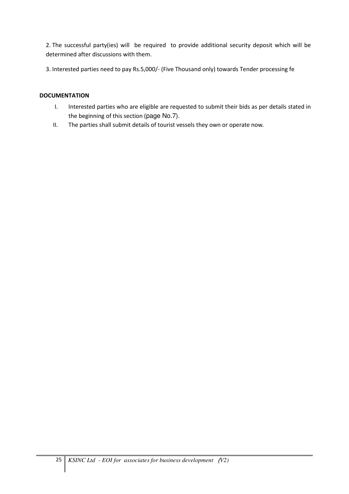2. The successful party(ies) will be required to provide additional security deposit which will be determined after discussions with them.

3. Interested parties need to pay Rs.5,000/- (Five Thousand only) towards Tender processing fe

#### **DOCUMENTATION**

- I. Interested parties who are eligible are requested to submit their bids as per details stated in the beginning of this section (page No.7).
- II. The parties shall submit details of tourist vessels they own or operate now.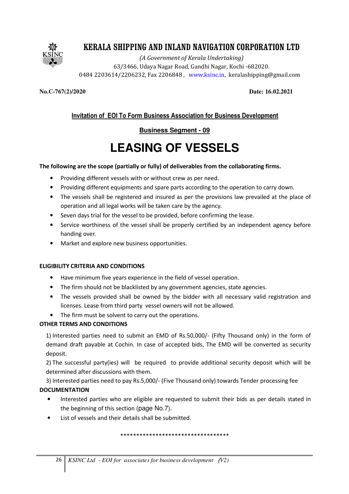

(A Government of Kerala Undertaking) 63/3466, Udaya Nagar Road, Gandhi Nagar, Kochi -682020. 0484 2203614/2206232, Fax 2206848 , www.ksinc.in, keralashipping@gmail.com

**No.C-767(2)/2020 Date: 16.02.2021**

# Invitation of EOI To Form Business Association for Business Development

# **Business Segment - 09**

# **LEASING OF VESSELS**

### The following are the scope (partially or fully) of deliverables from the collaborating firms.

- Providing different vessels with or without crew as per need.
- Providing different equipments and spare parts according to the operation to carry down.
- The vessels shall be registered and insured as per the provisions law prevailed at the place of operation and all legal works will be taken care by the agency.
- Seven days trial for the vessel to be provided, before confirming the lease.
- Service worthiness of the vessel shall be properly certified by an independent agency before handing over.
- Market and explore new business opportunities.

#### ELIGIBILITY CRITERIA AND CONDITIONS

- Have minimum five years experience in the field of vessel operation.
- The firm should not be blacklisted by any government agencies, state agencies.
- The vessels provided shall be owned by the bidder with all necessary valid registration and licenses. Lease from third party vessel owners will not be allowed.
- The firm must be solvent to carry out the operations.

### OTHER TERMS AND CONDITIONS

1) Interested parties need to submit an EMD of Rs.50,000/- (Fifty Thousand only) in the form of demand draft payable at Cochin. In case of accepted bids, The EMD will be converted as security deposit.

2) The successful party(ies) will be required to provide additional security deposit which will be determined after discussions with them.

3) Interested parties need to pay Rs.5,000/- (Five Thousand only) towards Tender processing fee **DOCUMENTATION** 

- Interested parties who are eligible are requested to submit their bids as per details stated in the beginning of this section (page No.7).
- List of vessels and their details shall be submitted.

\*\*\*\*\*\*\*\*\*\*\*\*\*\*\*\*\*\*\*\*\*\*\*\*\*\*\*\*\*\*\*\*\*\*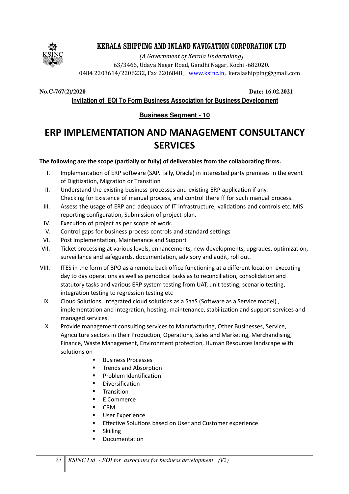

(A Government of Kerala Undertaking) 63/3466, Udaya Nagar Road, Gandhi Nagar, Kochi -682020. 0484 2203614/2206232, Fax 2206848 , www.ksinc.in, keralashipping@gmail.com

**No.C-767(2)/2020 Date: 16.02.2021**

Invitation of EOI To Form Business Association for Business Development

## **Business Segment - 10**

# ERP IMPLEMENTATION AND MANAGEMENT CONSULTANCY **SERVICES**

#### The following are the scope (partially or fully) of deliverables from the collaborating firms.

- I. Implementation of ERP software (SAP, Tally, Oracle) in interested party premises in the event of Digitization, Migration or Transition
- II. Understand the existing business processes and existing ERP application if any. Checking for Existence of manual process, and control there ff for such manual process.
- III. Assess the usage of ERP and adequacy of IT infrastructure, validations and controls etc. MIS reporting configuration, Submission of project plan.
- IV. Execution of project as per scope of work.
- V. Control gaps for business process controls and standard settings
- VI. Post Implementation, Maintenance and Support
- VII. Ticket processing at various levels, enhancements, new developments, upgrades, optimization, surveillance and safeguards, documentation, advisory and audit, roll out.
- VIII. ITES in the form of BPO as a remote back office functioning at a different location executing day to day operations as well as periodical tasks as to reconciliation, consolidation and statutory tasks and various ERP system testing from UAT, unit testing, scenario testing, integration testing to regression testing etc
	- IX. Cloud Solutions, integrated cloud solutions as a SaaS (Software as a Service model), implementation and integration, hosting, maintenance, stabilization and support services and managed services.
	- X. Provide management consulting services to Manufacturing, Other Businesses, Service, Agriculture sectors in their Production, Operations, Sales and Marketing, Merchandising, Finance, Waste Management, Environment protection, Human Resources landscape with solutions on
		- -Business Processes
		- -Trends and Absorption
		- -Problem Identification
		- -Diversification
		- -**Transition**
		- -E Commerce
		- -CRM
		- -User Experience
		- -Effective Solutions based on User and Customer experience
		- -Skilling
		- -Documentation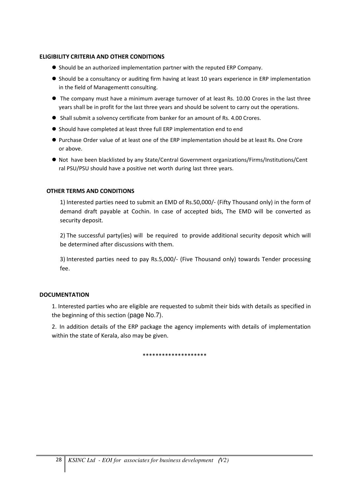#### ELIGIBILITY CRITERIA AND OTHER CONDITIONS

- $\bullet$  Should be an authorized implementation partner with the reputed ERP Company.
- Should be a consultancy or auditing firm having at least 10 years experience in ERP implementation in the field of Managementt consulting.
- The company must have a minimum average turnover of at least Rs. 10.00 Crores in the last three years shall be in profit for the last three years and should be solvent to carry out the operations.
- Shall submit a solvency certificate from banker for an amount of Rs. 4.00 Crores.
- Should have completed at least three full ERP implementation end to end
- Purchase Order value of at least one of the ERP implementation should be at least Rs. One Crore or above.
- Not have been blacklisted by any State/Central Government organizations/Firms/Institutions/Cent ral PSU/PSU should have a positive net worth during last three years.

#### OTHER TERMS AND CONDITIONS

1) Interested parties need to submit an EMD of Rs.50,000/- (Fifty Thousand only) in the form of demand draft payable at Cochin. In case of accepted bids, The EMD will be converted as security deposit.

2) The successful party(ies) will be required to provide additional security deposit which will be determined after discussions with them.

3) Interested parties need to pay Rs.5,000/- (Five Thousand only) towards Tender processing fee.

#### **DOCUMENTATION**

1. Interested parties who are eligible are requested to submit their bids with details as specified in the beginning of this section (page No.7).

2. In addition details of the ERP package the agency implements with details of implementation within the state of Kerala, also may be given.

\*\*\*\*\*\*\*\*\*\*\*\*\*\*\*\*\*\*\*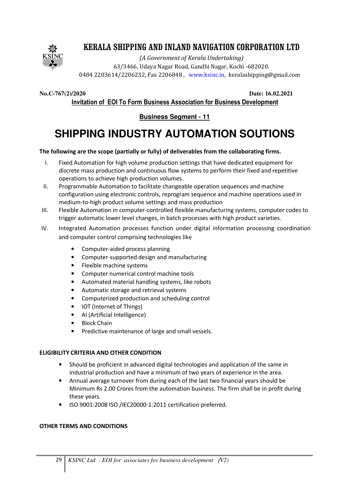

(A Government of Kerala Undertaking) 63/3466, Udaya Nagar Road, Gandhi Nagar, Kochi -682020. 0484 2203614/2206232, Fax 2206848 , www.ksinc.in, keralashipping@gmail.com

**No.C-767(2)/2020 Date: 16.02.2021**

Invitation of EOI To Form Business Association for Business Development

**Business Segment - 11**

# **SHIPPING INDUSTRY AUTOMATION SOUTIONS**

#### The following are the scope (partially or fully) of deliverables from the collaborating firms.

- I. Fixed Automation for high volume production settings that have dedicated equipment for discrete mass production and continuous flow systems to perform their fixed and repetitive operations to achieve high production volumes.
- II. Programmable Automation to facilitate changeable operation sequences and machine configuration using electronic controls, reprogram sequence and machine operations used in medium-to-high product volume settings and mass production
- III. Flexible Automation in computer-controlled flexible manufacturing systems, computer codes to trigger automatic lower level changes, in batch processes with high product varieties.
- IV. Integrated Automation processes function under digital information processing coordination and computer control comprising technologies like
	- Computer-aided process planning
	- Computer-supported design and manufacturing
	- Flexible machine systems
	- Computer numerical control machine tools
	- Automated material handling systems, like robots
	- Automatic storage and retrieval systems
	- Computerized production and scheduling control
	- IOT (Internet of Things)
	- AI (Artificial Intelligence)
	- Block Chain
	- Predictive maintenance of large and small vessels.

#### ELIGIBILITY CRITERIA AND OTHER CONDITION

- Should be proficient in advanced digital technologies and application of the same in industrial production and have a minimum of two years of experience in the area.
- Annual average turnover from during each of the last two financial years should be Minimum Rs 2.00 Crores from the automation business. The firm shall be in profit during these years.
- ISO 9001:2008 ISO /IEC20000-1:2011 certification preferred.

#### OTHER TERMS AND CONDITIONS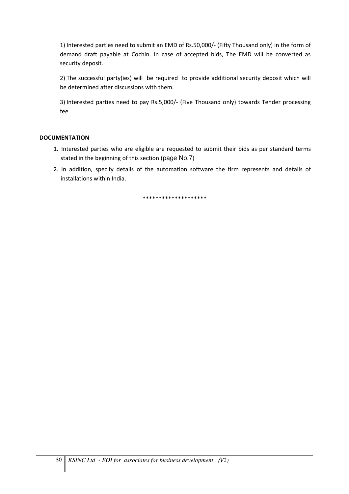1) Interested parties need to submit an EMD of Rs.50,000/- (Fifty Thousand only) in the form of demand draft payable at Cochin. In case of accepted bids, The EMD will be converted as security deposit.

2) The successful party(ies) will be required to provide additional security deposit which will be determined after discussions with them.

3) Interested parties need to pay Rs.5,000/- (Five Thousand only) towards Tender processing fee

#### **DOCUMENTATION**

- 1. Interested parties who are eligible are requested to submit their bids as per standard terms stated in the beginning of this section (page No.7)
- 2. In addition, specify details of the automation software the firm represents and details of installations within India.

\*\*\*\*\*\*\*\*\*\*\*\*\*\*\*\*\*\*\*\*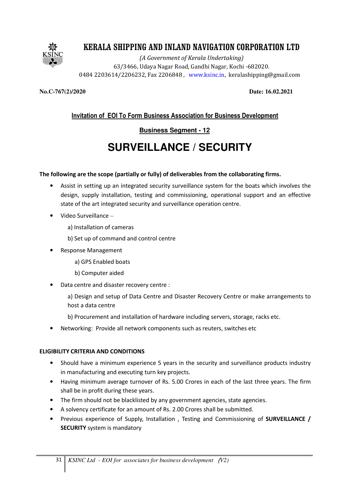

(A Government of Kerala Undertaking) 63/3466, Udaya Nagar Road, Gandhi Nagar, Kochi -682020. 0484 2203614/2206232, Fax 2206848 , www.ksinc.in, keralashipping@gmail.com

**No.C-767(2)/2020 Date: 16.02.2021**

# Invitation of EOI To Form Business Association for Business Development

# **Business Segment - 12**

# **SURVEILLANCE / SECURITY**

#### The following are the scope (partially or fully) of deliverables from the collaborating firms.

- Assist in setting up an integrated security surveillance system for the boats which involves the design, supply installation, testing and commissioning, operational support and an effective state of the art integrated security and surveillance operation centre.
- Video Surveillance
	- a) Installation of cameras
	- b) Set up of command and control centre
- Response Management
	- a) GPS Enabled boats
	- b) Computer aided
- Data centre and disaster recovery centre :
	- a) Design and setup of Data Centre and Disaster Recovery Centre or make arrangements to host a data centre
	- b) Procurement and installation of hardware including servers, storage, racks etc.
- Networking: Provide all network components such as reuters, switches etc

#### ELIGIBILITY CRITERIA AND CONDITIONS

- Should have a minimum experience 5 years in the security and surveillance products industry in manufacturing and executing turn key projects.
- Having minimum average turnover of Rs. 5.00 Crores in each of the last three years. The firm shall be in profit during these years.
- The firm should not be blacklisted by any government agencies, state agencies.
- A solvency certificate for an amount of Rs. 2.00 Crores shall be submitted.
- Previous experience of Supply, Installation, Testing and Commissioning of **SURVEILLANCE** / **SECURITY** system is mandatory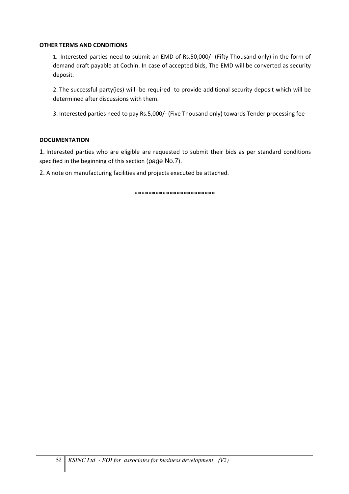#### OTHER TERMS AND CONDITIONS

1. Interested parties need to submit an EMD of Rs.50,000/- (Fifty Thousand only) in the form of demand draft payable at Cochin. In case of accepted bids, The EMD will be converted as security deposit.

2. The successful party(ies) will be required to provide additional security deposit which will be determined after discussions with them.

3. Interested parties need to pay Rs.5,000/- (Five Thousand only) towards Tender processing fee

#### **DOCUMENTATION**

1. Interested parties who are eligible are requested to submit their bids as per standard conditions specified in the beginning of this section (page No.7).

2. A note on manufacturing facilities and projects executed be attached.

\*\*\*\*\*\*\*\*\*\*\*\*\*\*\*\*\*\*\*\*\*\*\*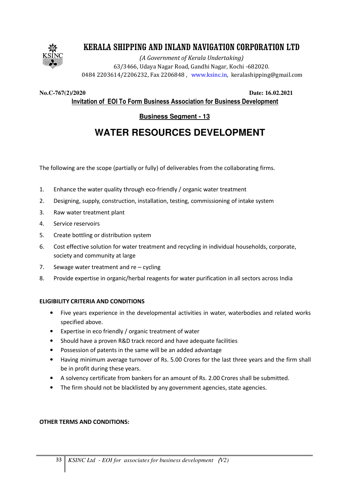

(A Government of Kerala Undertaking) 63/3466, Udaya Nagar Road, Gandhi Nagar, Kochi -682020. 0484 2203614/2206232, Fax 2206848 , www.ksinc.in, keralashipping@gmail.com

**No.C-767(2)/2020 Date: 16.02.2021**

Invitation of EOI To Form Business Association for Business Development

# **Business Segment - 13**

# **WATER RESOURCES DEVELOPMENT**

The following are the scope (partially or fully) of deliverables from the collaborating firms.

- 1. Enhance the water quality through eco-friendly / organic water treatment
- 2. Designing, supply, construction, installation, testing, commissioning of intake system
- 3. Raw water treatment plant
- 4. Service reservoirs
- 5. Create bottling or distribution system
- 6. Cost effective solution for water treatment and recycling in individual households, corporate, society and community at large
- 7. Sewage water treatment and re cycling
- 8. Provide expertise in organic/herbal reagents for water purification in all sectors across India

#### ELIGIBILITY CRITERIA AND CONDITIONS

- Five years experience in the developmental activities in water, waterbodies and related works specified above.
- Expertise in eco friendly / organic treatment of water
- Should have a proven R&D track record and have adequate facilities
- Possession of patents in the same will be an added advantage
- Having minimum average turnover of Rs. 5.00 Crores for the last three years and the firm shall be in profit during these years.
- A solvency certificate from bankers for an amount of Rs. 2.00 Crores shall be submitted.
- The firm should not be blacklisted by any government agencies, state agencies.

#### OTHER TERMS AND CONDITIONS: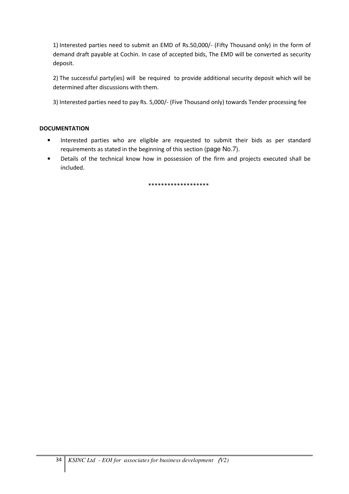1) Interested parties need to submit an EMD of Rs.50,000/- (Fifty Thousand only) in the form of demand draft payable at Cochin. In case of accepted bids, The EMD will be converted as security deposit.

2) The successful party(ies) will be required to provide additional security deposit which will be determined after discussions with them.

3) Interested parties need to pay Rs. 5,000/- (Five Thousand only) towards Tender processing fee

#### **DOCUMENTATION**

- Interested parties who are eligible are requested to submit their bids as per standard requirements as stated in the beginning of this section (page No.7).
- Details of the technical know how in possession of the firm and projects executed shall be included.

\*\*\*\*\*\*\*\*\*\*\*\*\*\*\*\*\*\*\*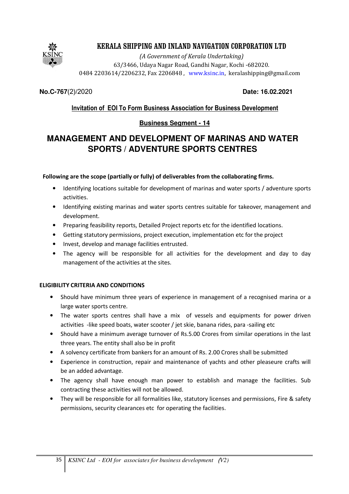

(A Government of Kerala Undertaking) 63/3466, Udaya Nagar Road, Gandhi Nagar, Kochi -682020. 0484 2203614/2206232, Fax 2206848 , www.ksinc.in, keralashipping@gmail.com

**No.C-767**(2)**/**2020 **Date: 16.02.2021**

# Invitation of EOI To Form Business Association for Business Development

# **Business Segment - 14**

# **MANAGEMENT AND DEVELOPMENT OF MARINAS AND WATER SPORTS / ADVENTURE SPORTS CENTRES**

#### Following are the scope (partially or fully) of deliverables from the collaborating firms.

- Identifying locations suitable for development of marinas and water sports / adventure sports activities.
- Identifying existing marinas and water sports centres suitable for takeover, management and development.
- Preparing feasibility reports, Detailed Project reports etc for the identified locations.
- Getting statutory permissions, project execution, implementation etc for the project
- Invest, develop and manage facilities entrusted.
- The agency will be responsible for all activities for the development and day to day management of the activities at the sites.

### ELIGIBILITY CRITERIA AND CONDITIONS

- Should have minimum three years of experience in management of a recognised marina or a large water sports centre.
- The water sports centres shall have a mix of vessels and equipments for power driven activities -like speed boats, water scooter / jet skie, banana rides, para -sailing etc
- Should have a minimum average turnover of Rs.5.00 Crores from similar operations in the last three years. The entity shall also be in profit
- A solvency certificate from bankers for an amount of Rs. 2.00 Crores shall be submitted
- Experience in construction, repair and maintenance of yachts and other pleaseure crafts will be an added advantage.
- The agency shall have enough man power to establish and manage the facilities. Sub contracting these activities will not be allowed.
- They will be responsible for all formalities like, statutory licenses and permissions, Fire & safety permissions, security clearances etc for operating the facilities.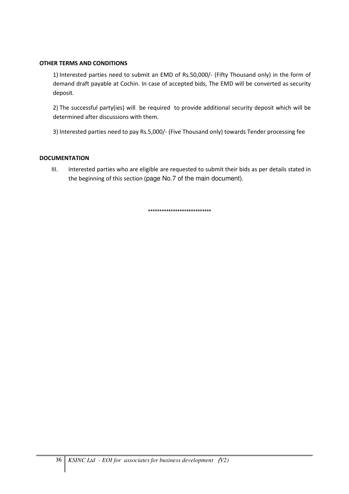#### OTHER TERMS AND CONDITIONS

1) Interested parties need to submit an EMD of Rs.50,000/- (Fifty Thousand only) in the form of demand draft payable at Cochin. In case of accepted bids, The EMD will be converted as security deposit.

2) The successful party(ies) will be required to provide additional security deposit which will be determined after discussions with them.

3) Interested parties need to pay Rs.5,000/- (Five Thousand only) towards Tender processing fee

#### **DOCUMENTATION**

III. Interested parties who are eligible are requested to submit their bids as per details stated in the beginning of this section (page No.7 of the main document).

\*\*\*\*\*\*\*\*\*\*\*\*\*\*\*\*\*\*\*\*\*\*\*\*\*\*\*\*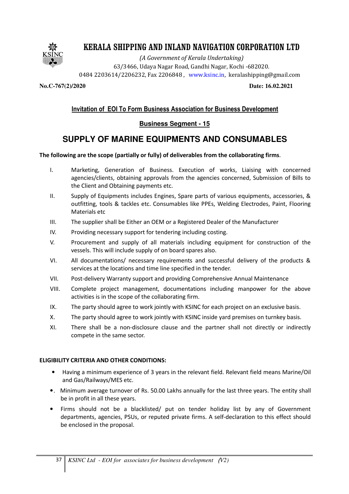

(A Government of Kerala Undertaking) 63/3466, Udaya Nagar Road, Gandhi Nagar, Kochi -682020. 0484 2203614/2206232, Fax 2206848 , www.ksinc.in, keralashipping@gmail.com

**No.C-767(2)/2020 Date: 16.02.2021**

### Invitation of EOI To Form Business Association for Business Development

#### **Business Segment - 15**

# **SUPPLY OF MARINE EQUIPMENTS AND CONSUMABLES**

#### The following are the scope (partially or fully) of deliverables from the collaborating firms.

- I. Marketing, Generation of Business. Execution of works, Liaising with concerned agencies/clients, obtaining approvals from the agencies concerned, Submission of Bills to the Client and Obtaining payments etc.
- II. Supply of Equipments includes Engines, Spare parts of various equipments, accessories, & outfitting, tools & tackles etc. Consumables like PPEs, Welding Electrodes, Paint, Flooring Materials etc
- III. The supplier shall be Either an OEM or a Registered Dealer of the Manufacturer
- IV. Providing necessary support for tendering including costing.
- V. Procurement and supply of all materials including equipment for construction of the vessels. This will include supply of on board spares also.
- VI. All documentations/ necessary requirements and successful delivery of the products & services at the locations and time line specified in the tender.
- VII. Post-delivery Warranty support and providing Comprehensive Annual Maintenance
- VIII. Complete project management, documentations including manpower for the above activities is in the scope of the collaborating firm.
- IX. The party should agree to work jointly with KSINC for each project on an exclusive basis.
- X. The party should agree to work jointly with KSINC inside yard premises on turnkey basis.
- XI. There shall be a non-disclosure clause and the partner shall not directly or indirectly compete in the same sector.

#### ELIGIBILITY CRITERIA AND OTHER CONDITIONS:

- Having a minimum experience of 3 years in the relevant field. Relevant field means Marine/Oil and Gas/Railways/MES etc.
- •. Minimum average turnover of Rs. 50.00 Lakhs annually for the last three years. The entity shall be in profit in all these years.
- Firms should not be a blacklisted/ put on tender holiday list by any of Government departments, agencies, PSUs, or reputed private firms. A self-declaration to this effect should be enclosed in the proposal.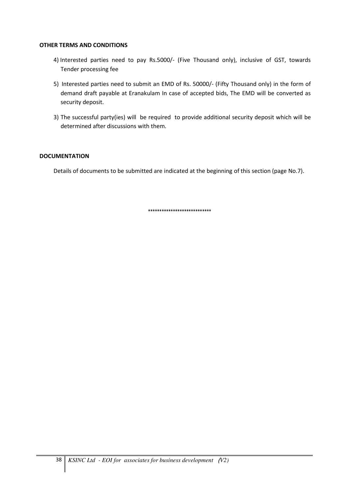#### OTHER TERMS AND CONDITIONS

- 4) Interested parties need to pay Rs.5000/- (Five Thousand only), inclusive of GST, towards Tender processing fee
- 5) Interested parties need to submit an EMD of Rs. 50000/- (Fifty Thousand only) in the form of demand draft payable at Eranakulam In case of accepted bids, The EMD will be converted as security deposit.
- 3) The successful party(ies) will be required to provide additional security deposit which will be determined after discussions with them.

#### **DOCUMENTATION**

Details of documents to be submitted are indicated at the beginning of this section (page No.7).

\*\*\*\*\*\*\*\*\*\*\*\*\*\*\*\*\*\*\*\*\*\*\*\*\*\*\*\*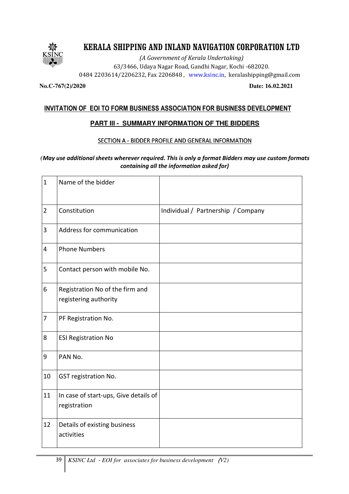

(A Government of Kerala Undertaking) 63/3466, Udaya Nagar Road, Gandhi Nagar, Kochi -682020. 0484 2203614/2206232, Fax 2206848 , www.ksinc.in, keralashipping@gmail.com

#### **No.C-767(2)/2020 Date: 16.02.2021**

#### INVITATION OF EOI TO FORM BUSINESS ASSOCIATION FOR BUSINESS DEVELOPMENT

#### **PART III - SUMMARY INFORMATION OF THE BIDDERS**

#### SECTION A - BIDDER PROFILE AND GENERAL INFORMATION

#### *(*May use additional sheets wherever required. This is only a format Bidders may use custom formats containing all the information asked for)

| $\mathbf{1}$   | Name of the bidder                                       |                                    |
|----------------|----------------------------------------------------------|------------------------------------|
| $\overline{2}$ | Constitution                                             | Individual / Partnership / Company |
| 3              | Address for communication                                |                                    |
| 4              | <b>Phone Numbers</b>                                     |                                    |
| 5              | Contact person with mobile No.                           |                                    |
| 6              | Registration No of the firm and<br>registering authority |                                    |
| 7              | PF Registration No.                                      |                                    |
| 8              | <b>ESI Registration No</b>                               |                                    |
| 9              | PAN No.                                                  |                                    |
| 10             | GST registration No.                                     |                                    |
| 11             | In case of start-ups, Give details of<br>registration    |                                    |
| 12             | Details of existing business<br>activities               |                                    |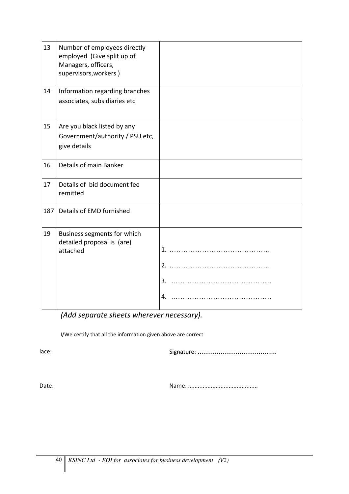| 13  | Number of employees directly<br>employed (Give split up of<br>Managers, officers,<br>supervisors, workers) |  |
|-----|------------------------------------------------------------------------------------------------------------|--|
| 14  | Information regarding branches<br>associates, subsidiaries etc                                             |  |
| 15  | Are you black listed by any<br>Government/authority / PSU etc,<br>give details                             |  |
| 16  | Details of main Banker                                                                                     |  |
| 17  | Details of bid document fee<br>remitted                                                                    |  |
| 187 | Details of EMD furnished                                                                                   |  |
| 19  | Business segments for which<br>detailed proposal is (are)<br>attached                                      |  |

(Add separate sheets wherever necessary).

I/We certify that all the information given above are correct

lace: Signature: ……………………………..…

Date: Name: ...........................................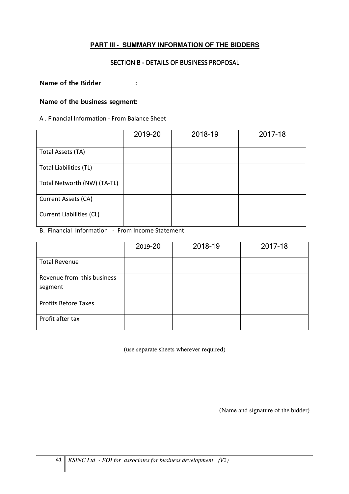### **PART III - SUMMARY INFORMATION OF THE BIDDERS**

#### SECTION B - DETAILS OF BUSINESS PROPOSAL

Name of the Bidder  $\cdot$ :

#### Name of the business segment:

#### A . Financial Information - From Balance Sheet

|                                 | 2019-20 | 2018-19 | 2017-18 |
|---------------------------------|---------|---------|---------|
| Total Assets (TA)               |         |         |         |
| <b>Total Liabilities (TL)</b>   |         |         |         |
| Total Networth (NW) (TA-TL)     |         |         |         |
| Current Assets (CA)             |         |         |         |
| <b>Current Liabilities (CL)</b> |         |         |         |

B. Financial Information - From Income Statement

|                             | 2019-20 | 2018-19 | 2017-18 |
|-----------------------------|---------|---------|---------|
| <b>Total Revenue</b>        |         |         |         |
| Revenue from this business  |         |         |         |
| segment                     |         |         |         |
| <b>Profits Before Taxes</b> |         |         |         |
| Profit after tax            |         |         |         |

(use separate sheets wherever required)

(Name and signature of the bidder)